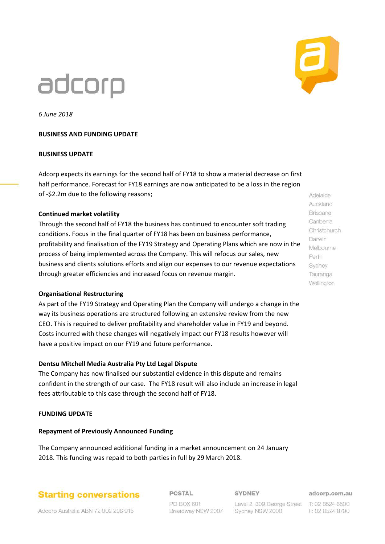# adcorp



*6 June 2018*

#### **BUSINESS AND FUNDING UPDATE**

#### **BUSINESS UPDATE**

Adcorp expects its earnings for the second half of FY18 to show a material decrease on first half performance. Forecast for FY18 earnings are now anticipated to be a loss in the region of -\$2.2m due to the following reasons;

#### **Continued market volatility**

Through the second half of FY18 the business has continued to encounter soft trading conditions. Focus in the final quarter of FY18 has been on business performance, profitability and finalisation of the FY19 Strategy and Operating Plans which are now in the process of being implemented across the Company. This will refocus our sales, new business and clients solutions efforts and align our expenses to our revenue expectations through greater efficiencies and increased focus on revenue margin.

#### **Organisational Restructuring**

As part of the FY19 Strategy and Operating Plan the Company will undergo a change in the way its business operations are structured following an extensive review from the new CEO. This is required to deliver profitability and shareholder value in FY19 and beyond. Costs incurred with these changes will negatively impact our FY18 results however will have a positive impact on our FY19 and future performance.

#### **Dentsu Mitchell Media Australia Pty Ltd Legal Dispute**

The Company has now finalised our substantial evidence in this dispute and remains confident in the strength of our case. The FY18 result will also include an increase in legal fees attributable to this case through the second half of FY18.

#### **FUNDING UPDATE**

#### **Repayment of Previously Announced Funding**

The Company announced additional funding in a market announcement on 24 January 2018. This funding was repaid to both parties in full by 29 March 2018.

# **Starting conversations**

**POSTAL** 

SYDNEY

adcorp.com.au

Adcorp Australia ABN 72 002 208 915

PO BOX 601 Broadway NSW 2007

Level 2, 309 George Street T: 02 8524 8500 Sydney NSW 2000

F: 02 8524 8700

Auckland **Brisbane** Canberra Christchurch Darwin Melbourne Perth Sydney Tauranga Wellington

Adelaide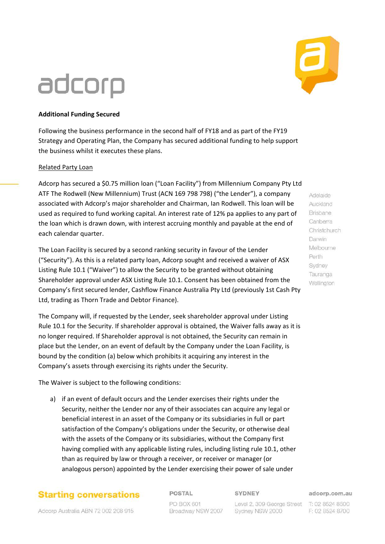# **Additional Funding Secured**

adcorp

Following the business performance in the second half of FY18 and as part of the FY19 Strategy and Operating Plan, the Company has secured additional funding to help support the business whilst it executes these plans.

#### Related Party Loan

Adcorp has secured a \$0.75 million loan ("Loan Facility") from Millennium Company Pty Ltd ATF The Rodwell (New Millennium) Trust (ACN 169 798 798) ("the Lender"), a company associated with Adcorp's major shareholder and Chairman, Ian Rodwell. This loan will be used as required to fund working capital. An interest rate of 12% pa applies to any part of the loan which is drawn down, with interest accruing monthly and payable at the end of each calendar quarter.

The Loan Facility is secured by a second ranking security in favour of the Lender ("Security"). As this is a related party loan, Adcorp sought and received a waiver of ASX Listing Rule 10.1 ("Waiver") to allow the Security to be granted without obtaining Shareholder approval under ASX Listing Rule 10.1. Consent has been obtained from the Company's first secured lender, Cashflow Finance Australia Pty Ltd (previously 1st Cash Pty Ltd, trading as Thorn Trade and Debtor Finance).

The Company will, if requested by the Lender, seek shareholder approval under Listing Rule 10.1 for the Security. If shareholder approval is obtained, the Waiver falls away as it is no longer required. If Shareholder approval is not obtained, the Security can remain in place but the Lender, on an event of default by the Company under the Loan Facility, is bound by the condition (a) below which prohibits it acquiring any interest in the Company's assets through exercising its rights under the Security.

The Waiver is subject to the following conditions:

a) if an event of default occurs and the Lender exercises their rights under the Security, neither the Lender nor any of their associates can acquire any legal or beneficial interest in an asset of the Company or its subsidiaries in full or part satisfaction of the Company's obligations under the Security, or otherwise deal with the assets of the Company or its subsidiaries, without the Company first having complied with any applicable listing rules, including listing rule 10.1, other than as required by law or through a receiver, or receiver or manager (or analogous person) appointed by the Lender exercising their power of sale under

### **Starting conversations**

Adcorp Australia ABN 72 002 208 915

**POSTAL** 

PO BOX 601 Broadway NSW 2007 **SYDNEY** 

Level 2, 309 George Street T: 02 8524 8500 Sydney NSW 2000

adcorp.com.au F: 02 8524 8700

Adelaide Auckland **Brisbane** Canberra Christchurch Darwin Melbourne Perth Sydney Tauranga Wellington

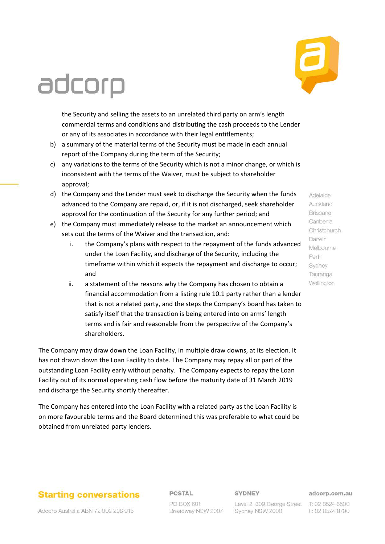# **Starting conversations**

Adcorp Australia ABN 72 002 208 915

### POSTAL

PO BOX 601 Broadway NSW 2007 SYDNEY

Sydney NSW 2000

#### adcorp.com.au

Level 2, 309 George Street T: 02 8524 8500 F: 02 8524 8700

# adcorp

the Security and selling the assets to an unrelated third party on arm's length commercial terms and conditions and distributing the cash proceeds to the Lender or any of its associates in accordance with their legal entitlements;

- b) a summary of the material terms of the Security must be made in each annual report of the Company during the term of the Security;
- c) any variations to the terms of the Security which is not a minor change, or which is inconsistent with the terms of the Waiver, must be subject to shareholder approval;
- d) the Company and the Lender must seek to discharge the Security when the funds advanced to the Company are repaid, or, if it is not discharged, seek shareholder approval for the continuation of the Security for any further period; and
- e) the Company must immediately release to the market an announcement which sets out the terms of the Waiver and the transaction, and:
	- i. the Company's plans with respect to the repayment of the funds advanced under the Loan Facility, and discharge of the Security, including the timeframe within which it expects the repayment and discharge to occur; and
	- ii. a statement of the reasons why the Company has chosen to obtain a financial accommodation from a listing rule 10.1 party rather than a lender that is not a related party, and the steps the Company's board has taken to satisfy itself that the transaction is being entered into on arms' length terms and is fair and reasonable from the perspective of the Company's shareholders.

The Company may draw down the Loan Facility, in multiple draw downs, at its election. It has not drawn down the Loan Facility to date. The Company may repay all or part of the outstanding Loan Facility early without penalty. The Company expects to repay the Loan Facility out of its normal operating cash flow before the maturity date of 31 March 2019 and discharge the Security shortly thereafter.

The Company has entered into the Loan Facility with a related party as the Loan Facility is on more favourable terms and the Board determined this was preferable to what could be obtained from unrelated party lenders.

Adelaide Auckland **Brisbane** Canberra Christchurch Darwin Melbourne Perth Sydney Tauranga Wellington